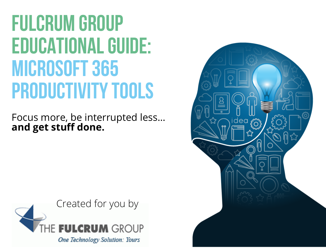# **Fulcrum Group EDUCATIONAL GUIDE: Microsoft365 PRODUCTIVITY TOOLS**

Focus more, be interrupted less… **and get stuff done.**



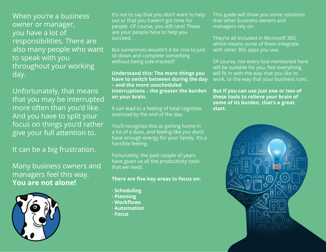When you're a business owner or manager, you have a lot of responsibilities. There are also many people who want to speak with you throughout your working day.

Unfortunately, that means that you may be interrupted more often than you'd like. And you have to split your focus on things you'd rather give your full attention to.

It can be a big frustration.

Many business owners and managers feel this way. **You are not alone!**



It's not to say that you don't want to help out or that you haven't got time for people. Of course, you still care! These are your people here to help you succeed.

But sometimes wouldn't it be nice to just sit down and complete something without being side-tracked?

**Understand this: The more things you have to switch between during the day – and the more unscheduled interruptions – the greater the burden on your brain.**

It can lead to a feeling of total cognitive overload by the end of the day.

You'll recognize this as getting home in a bit of a daze, and feeling like you don't have enough energy for your family. It's a horrible feeling.

Fortunately, the past couple of years have given us all the productivity tools that we need.

#### **There are five key areas to focus on:**

- **· Scheduling**
- **· Planning**
- **· Workflows**
- **· Automation**
- **· Focus**

This guide will show you some solutions that other business owners and managers rely on.

They're all included in Microsoft 365, which means some of them integrate with other 365 apps you use.

Of course, not every tool mentioned here will be suitable for you. Not everything will fit in with the way that you like to work, or the way that your business runs.

**But if you can use just one or two of these tools to relieve your brain of some of its burden, that's a great start.**

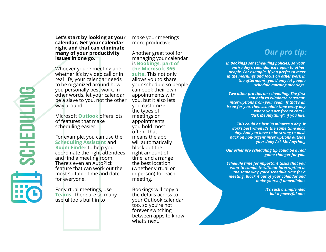#### **Let's start by looking at your calendar. Get your calendar right and that can eliminate many of your productivity issues in one go.**

Whoever you're meeting and whether it's by video call or in real life, your calendar needs to be organized around how you personally best work. In other words, let your calendar be a slave to you, not the other way around!

Microsoft **Outlook** offers lots of features that make scheduling easier.

For example, you can use the **Scheduling Assistant** and **Room Finder** to help you coordinate the right attendees and find a meeting room. There's even an AutoPick feature that can work out the most suitable time and date for everyone.

For virtual meetings, use **Teams.** There are so many useful tools built in to

make your meetings more productive.

calendar, Get your calendar<br>
map that can eliminate<br>
map of your productivity<br>
map of your productivity<br>
map ago.<br>
Whowever your emetring and<br>
the Microsoft 365<br>
whether its by video call or in suite. This root only<br>
real Another great tool for managing your calendar is **Bookings, part of the Microsoft 365 suite.** This not only allows you to share your schedule so people can book their own appointments with you, but it also lets you customize the types of meetings or appointments you hold most often. That means the app will automatically block out the right amount of time, and arrange the best location (whether virtual or in person) for each meeting.

Bookings will copy all the details across to your Outlook calendar too, so you're not forever switching between apps to know what's next.

## *O u r p r o tip :*

In Bookings set scheduling policies, so your entire day's calendar isn't open to other people. For example, if you prefer to meet *in the mornings and focus on other work in* the afternoons, you'd only let people *s c h e d u l e m o rn ing m e e tings .*

*Two o th e r p r o tip s o n s c h e d u ling. Th e firs t can help to eliminate constant* interruptions from your team. If that's an issue for you, then schedule time every day *wh e r e yo u a r e fr e e t o c h a t - "A s k M e A nyth ing ", if yo u like .*

This could be just 30 minutes a day. It *works best when it's the same time each day. And you have to be strong to push* back on non-urgent interruptions outside *yo u r d a ily A s k M e A nyth ing*

Our other pro scheduling tip could be a real *g a m e c h a ng e r fo r yo u .*

Schedule time for important tasks that you want to complete without interruption in *th e s a m e way yo u 'd s c h e d u l e tim e fo r a* meeting. Block it out of your calendar and *m a ke yo u rs e lf u n a va il a b l e .*

> *I t 's s u c h a s im p l e i d e a but a powerful one.*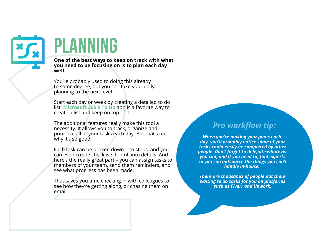

# **planning**

**One of the best ways to keep on track with what you need to be focusing on is to plan each day well.**

You're probably used to doing this already to some degree, but you can take your daily planning to the next level.

Start each day or week by creating a detailed to do list. **Microsoft 365's To Do** app is a favorite way to create a list and keep on top of it.

The additional features really make this tool a necessity. It allows you to track, organize and prioritize all of your tasks each day. But that's not why it's so good.

**22**<br>
One of the best ways to keep on track with what<br>
you need to be focusing on is to plan each day<br>
well.<br>
You're probably used to doing this already<br>
to some degree, but you can take your daily<br>
planning to the next le Each task can be broken down into steps, and you can even create checklists to drill into details. And here's the really great part – you can assign tasks to members of your team, send them reminders, and see what progress has been made.

That saves you time checking in with colleagues to see how they're getting along, or chasing them on email.

# *Pro workflow tip:*

*When you're making your plans each day, you'll probably notice some of your tasks could easily be completed by other people. Don't forget to delegate whatever you can, and if you need to, find experts so you can outsource the things you can't handle in-house.*

*There are thousands of people out there waiting to do tasks for you on platforms such as Fiverr and Upwork.*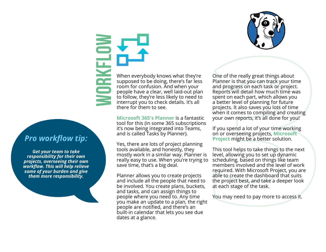**wo** to follow, they're less likely to need to **r** room for confusion. And when your **k** When everybody knows what they're **flow**supposed to be doing, there's far less people have a clear, well laid-out plan

## *Pro workflow tip:*

*Get your team to take responsibility for their own projects, overseeing their own workflow. This will help relieve some of your burden and give them more responsibility.*

 there for them to see. interrupt you to check details. It's all **Microsoft 365's Planner** is a fantastic tool for this (in some 365 subscriptions it's now being integrated into Teams,

and is called Tasks by Planner).

Yes, there are lots of project planning tools available, and honestly, they mostly work in a similar way. Planner is really easy to use. When you're trying to save time, that's a big deal.

Planner allows you to create projects and include all the people that need to be involved. You create plans, buckets, and tasks, and can assign things to people where you need to. Any time you make an update to a plan, the right people are notified, and there's an built-in calendar that lets you see due dates at a glance.

One of the really great things about<br>Planner is that you can track your time<br>ad progress on each task or project.<br>Reports will detail how much time was<br>spent on each part, which allows you<br>a better level of planning for fu One of the really great things about Planner is that you can track your time and progress on each task or project. Reports will detail how much time was spent on each part, which allows you a better level of planning for future projects. It also saves you lots of time when it comes to compiling and creating your own reports, it's all done for you!

If you spend a lot of your time working on or overseeing projects, **Microsoft Project** might be a better solution.

This tool helps to take things to the next level, allowing you to set up dynamic scheduling, based on things like team members involved and the level of work required. With Microsoft Project, you are able to create the dashboard that suits the project best, and take a deeper look at each stage of the task.

You may need to pay more to access it.

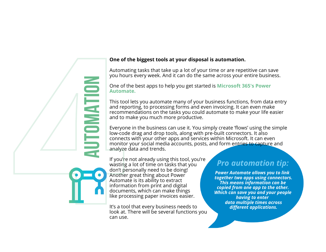#### **One of the biggest tools at your disposal is automation.**

Automating tasks that take up a lot of your time or are repetitive can save you hours every week. And it can do the same across your entire business.

One of the best apps to help you get started is **Microsoft 365's Power Automate.**

This tool lets you automate many of your business functions, from data entry and reporting, to processing forms and even invoicing. It can even make recommendations on the tasks you could automate to make your life easier and to make you much more productive.

Everyone in the business can use it. You simply create 'flows' using the simple low-code drag and drop tools, along with pre-built connectors. It also connects with your other apps and services within Microsoft. It can even monitor your social media accounts, posts, and form entries to capture and analyze data and trends.

If you're not already using this tool, you're wasting a lot of time on tasks that you don't personally need to be doing! Another great thing about Power Automate is its ability to extract information from print and digital documents, which can make things like processing paper invoices easier. **Example 18 and the biggest tools at your disposal<br>wutunding tasks that take up a lot of your<br>you hours every week. And it can do the same<br>one of the best apps to help you get started<br>automate.<br>This tool less you could at** 

**a**

**uto**

**m**

**ati i i i i i i i o**

**n**

It's a tool that every business needs to look at. There will be several functions you can use.

### *Pro automation tip:*

*Power Automate allows you to link together two apps using connectors. This means information can be copied from one app to the other. Which can save you and your people having to enter data multiple times across different applications.*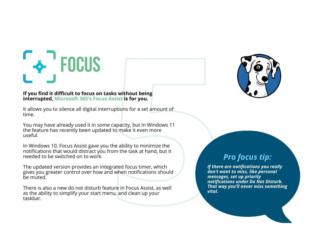# **focus**

#### **If you find it difficult to focus on tasks without being interrupted, Microsoft 365's Focus Assist is for you.**

It allows you to silence all digital interruptions for a set amount of time.

You may have already used it in some capacity, but in Windows 11 the feature has recently been updated to make it even more useful.

In Windows 10, Focus Assist gave you the ability to minimize the notifications that would distract you from the task at hand, but it needed to be switched on to work.

The updated version provides an integrated focus timer, which gives you greater control over how and when notifications should be muted.

There is also a new do not disturb feature in Focus Assist, as well as the ability to simplify your start menu, and clean up your taskbar.



## *Pro focus tip:*

Sks without being<br>
Assist is for you.<br>
Assist is for you.<br>
ruptions for a set amount of<br>
the ability to minimize the<br>
rom the task at hand, but it<br>
for the activities on each transfer being<br>
grated focus time, which<br>
divid *If there are notifications you really don't want to miss, like personal messages, set up priority notifications under Do Not Disturb. That way you'll never miss something vital.*